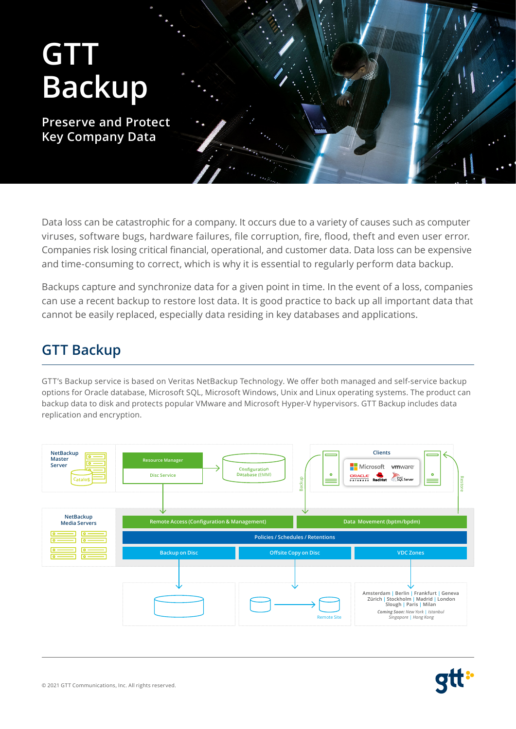

Data loss can be catastrophic for a company. It occurs due to a variety of causes such as computer viruses, software bugs, hardware failures, file corruption, fire, flood, theft and even user error. Companies risk losing critical financial, operational, and customer data. Data loss can be expensive and time-consuming to correct, which is why it is essential to regularly perform data backup.

Backups capture and synchronize data for a given point in time. In the event of a loss, companies can use a recent backup to restore lost data. It is good practice to back up all important data that cannot be easily replaced, especially data residing in key databases and applications.

# **GTT Backup**

GTT's Backup service is based on Veritas NetBackup Technology. We offer both managed and self-service backup options for Oracle database, Microsoft SQL, Microsoft Windows, Unix and Linux operating systems. The product can backup data to disk and protects popular VMware and Microsoft Hyper-V hypervisors. GTT Backup includes data replication and encryption.